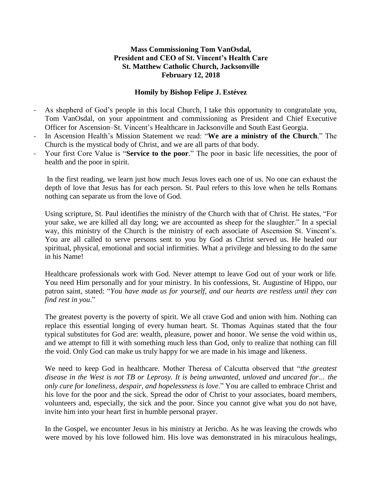## **Mass Commissioning Tom VanOsdal, President and CEO of St. Vincent's Health Care St. Matthew Catholic Church, Jacksonville February 12, 2018**

## **Homily by Bishop Felipe J. Estévez**

- As shepherd of God's people in this local Church, I take this opportunity to congratulate you, Tom VanOsdal, on your appointment and commissioning as President and Chief Executive Officer for Ascension–St. Vincent's Healthcare in Jacksonville and South East Georgia.
- In Ascension Health's Mission Statement we read: "**We are a ministry of the Church**." The Church is the mystical body of Christ, and we are all parts of that body.
- Your first Core Value is "**Service to the poor**." The poor in basic life necessities, the poor of health and the poor in spirit.

In the first reading, we learn just how much Jesus loves each one of us. No one can exhaust the depth of love that Jesus has for each person. St. Paul refers to this love when he tells Romans nothing can separate us from the love of God.

Using scripture, St. Paul identifies the ministry of the Church with that of Christ. He states, "For your sake, we are killed all day long; we are accounted as sheep for the slaughter." In a special way, this ministry of the Church is the ministry of each associate of Ascension St. Vincent's. You are all called to serve persons sent to you by God as Christ served us. He healed our spiritual, physical, emotional and social infirmities. What a privilege and blessing to do the same in his Name!

Healthcare professionals work with God. Never attempt to leave God out of your work or life. You need Him personally and for your ministry. In his confessions, St. Augustine of Hippo, our patron saint, stated: "*You have made us for yourself, and our hearts are restless until they can find rest in you*."

The greatest poverty is the poverty of spirit. We all crave God and union with him. Nothing can replace this essential longing of every human heart. St. Thomas Aquinas stated that the four typical substitutes for God are: wealth, pleasure, power and honor. We sense the void within us, and we attempt to fill it with something much less than God, only to realize that nothing can fill the void. Only God can make us truly happy for we are made in his image and likeness.

We need to keep God in healthcare. Mother Theresa of Calcutta observed that "*the greatest disease in the West is not TB or Leprosy. It is being unwanted, unloved and uncared for… the only cure for loneliness, despair, and hopelessness is love*." You are called to embrace Christ and his love for the poor and the sick. Spread the odor of Christ to your associates, board members, volunteers and, especially, the sick and the poor. Since you cannot give what you do not have, invite him into your heart first in humble personal prayer.

In the Gospel, we encounter Jesus in his ministry at Jericho. As he was leaving the crowds who were moved by his love followed him. His love was demonstrated in his miraculous healings,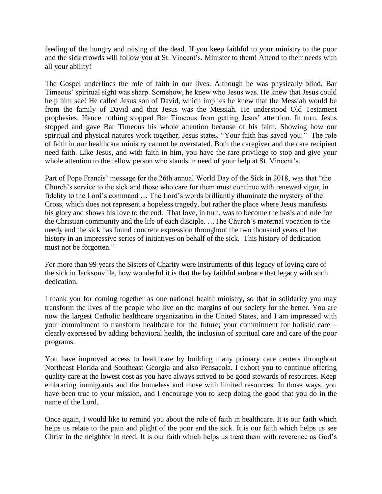feeding of the hungry and raising of the dead. If you keep faithful to your ministry to the poor and the sick crowds will follow you at St. Vincent's. Minister to them! Attend to their needs with all your ability!

The Gospel underlines the role of faith in our lives. Although he was physically blind, Bar Timeous' spiritual sight was sharp. Somehow, he knew who Jesus was. He knew that Jesus could help him see! He called Jesus son of David, which implies he knew that the Messiah would be from the family of David and that Jesus was the Messiah. He understood Old Testament prophesies. Hence nothing stopped Bar Timeous from getting Jesus' attention. In turn, Jesus stopped and gave Bar Timeous his whole attention because of his faith. Showing how our spiritual and physical natures work together, Jesus states, "Your faith has saved you!" The role of faith in our healthcare ministry cannot be overstated. Both the caregiver and the care recipient need faith. Like Jesus, and with faith in him, you have the rare privilege to stop and give your whole attention to the fellow person who stands in need of your help at St. Vincent's.

Part of Pope Francis' message for the 26th annual World Day of the Sick in 2018, was that "the Church's service to the sick and those who care for them must continue with renewed vigor, in fidelity to the Lord's command … The Lord's words brilliantly illuminate the mystery of the Cross, which does not represent a hopeless tragedy, but rather the place where Jesus manifests his glory and shows his love to the end. That love, in turn, was to become the basis and rule for the Christian community and the life of each disciple. …The Church's maternal vocation to the needy and the sick has found concrete expression throughout the two thousand years of her history in an impressive series of initiatives on behalf of the sick. This history of dedication must not be forgotten."

For more than 99 years the Sisters of Charity were instruments of this legacy of loving care of the sick in Jacksonville, how wonderful it is that the lay faithful embrace that legacy with such dedication.

I thank you for coming together as one national health ministry, so that in solidarity you may transform the lives of the people who live on the margins of our society for the better. You are now the largest Catholic healthcare organization in the United States, and I am impressed with your commitment to transform healthcare for the future; your commitment for holistic care – clearly expressed by adding behavioral health, the inclusion of spiritual care and care of the poor programs.

You have improved access to healthcare by building many primary care centers throughout Northeast Florida and Southeast Georgia and also Pensacola. I exhort you to continue offering quality care at the lowest cost as you have always strived to be good stewards of resources. Keep embracing immigrants and the homeless and those with limited resources. In those ways, you have been true to your mission, and I encourage you to keep doing the good that you do in the name of the Lord.

Once again, I would like to remind you about the role of faith in healthcare. It is our faith which helps us relate to the pain and plight of the poor and the sick. It is our faith which helps us see Christ in the neighbor in need. It is our faith which helps us treat them with reverence as God's